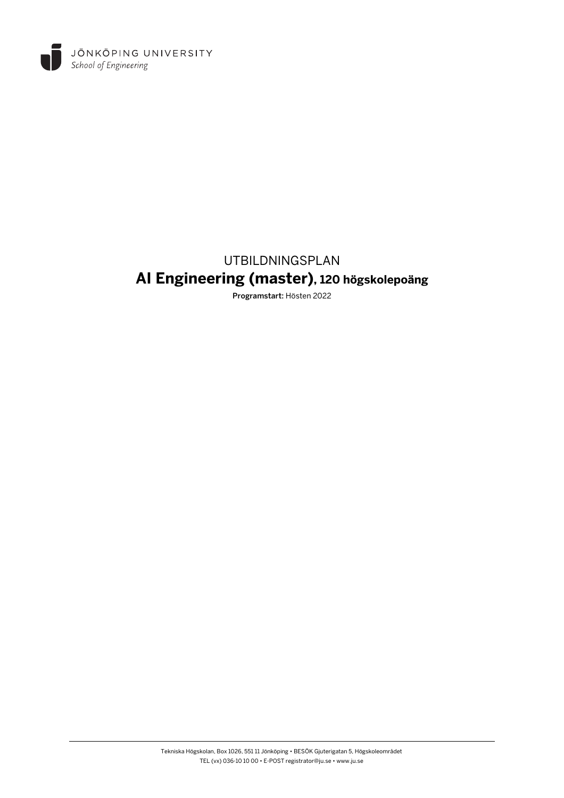

# UTBILDNINGSPLAN **AI Engineering (master), 120 högskolepoäng**

Programstart: Hösten 2022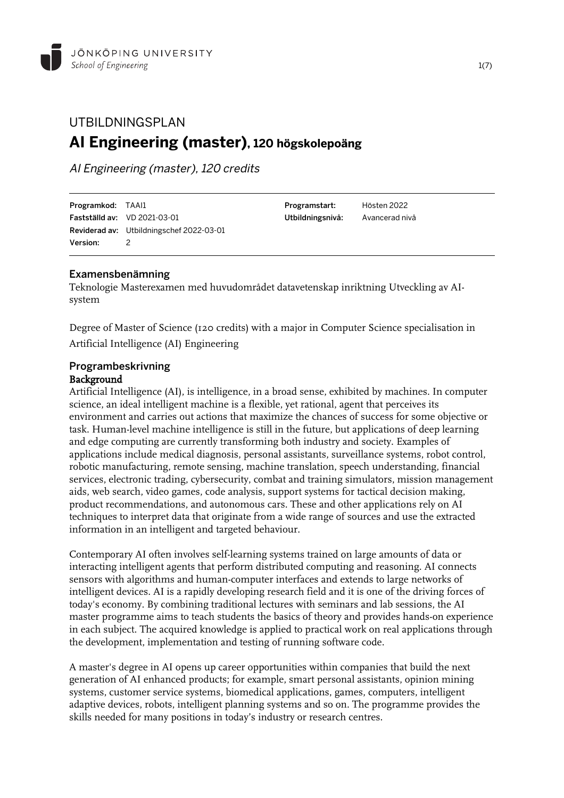

## UTBILDNINGSPLAN **AI Engineering (master), 120 högskolepoäng**

AI Engineering (master), 120 credits

| Programkod: TAAI1 |                                          | Programstart:    | Hösten 2022    |
|-------------------|------------------------------------------|------------------|----------------|
|                   | <b>Fastställd av:</b> VD 2021-03-01      | Utbildningsnivå: | Avancerad nivå |
|                   | Reviderad av: Utbildningschef 2022-03-01 |                  |                |
| <b>Version:</b>   | 2                                        |                  |                |
|                   |                                          |                  |                |

## Examensbenämning

Teknologie Masterexamen med huvudområdet datavetenskap inriktning Utveckling av AIsystem

Degree of Master of Science (120 credits) with a major in Computer Science specialisation in Artificial Intelligence (AI) Engineering

## Programbeskrivning Background

Artificial Intelligence (AI), is intelligence, in a broad sense, exhibited by machines. In computer science, an ideal intelligent machine is a flexible, yet rational, agent that perceives its environment and carries out actions that maximize the chances of success for some objective or task. Human-level machine intelligence is still in the future, but applications of deep learning and edge computing are currently transforming both industry and society. Examples of applications include medical diagnosis, personal assistants, surveillance systems, robot control, robotic manufacturing, remote sensing, machine translation, speech understanding, financial services, electronic trading, cybersecurity, combat and training simulators, mission management aids, web search, video games, code analysis, support systems for tactical decision making, product recommendations, and autonomous cars. These and other applications rely on AI techniques to interpret data that originate from a wide range of sources and use the extracted information in an intelligent and targeted behaviour.

Contemporary AI often involves self-learning systems trained on large amounts of data or interacting intelligent agents that perform distributed computing and reasoning. AI connects sensors with algorithms and human-computer interfaces and extends to large networks of intelligent devices. AI is a rapidly developing research field and it is one of the driving forces of today's economy. By combining traditional lectures with seminars and lab sessions, the AI master programme aims to teach students the basics of theory and provides hands-on experience in each subject. The acquired knowledge is applied to practical work on real applications through the development, implementation and testing of running software code.

A master's degree in AI opens up career opportunities within companies that build the next generation of AI enhanced products; for example, smart personal assistants, opinion mining systems, customer service systems, biomedical applications, games, computers, intelligent adaptive devices, robots, intelligent planning systems and so on. The programme provides the skills needed for many positions in today's industry or research centres.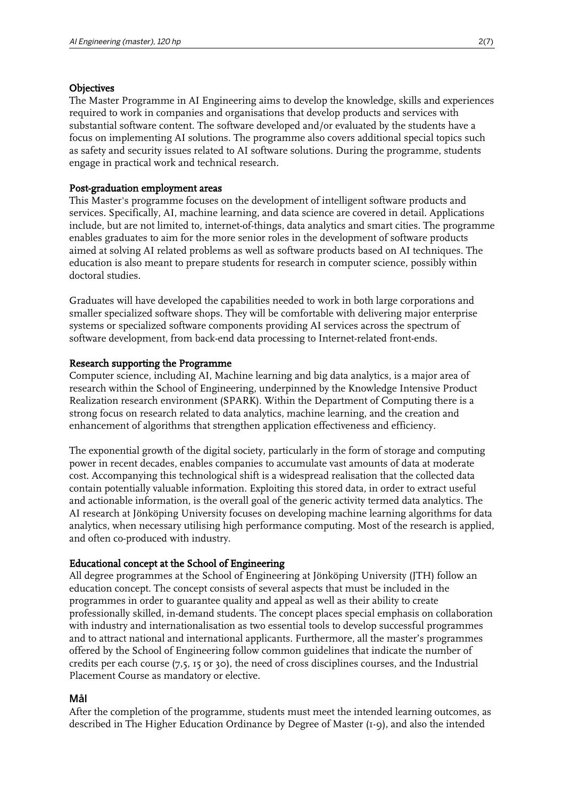#### **Objectives**

The Master Programme in AI Engineering aims to develop the knowledge, skills and experiences required to work in companies and organisations that develop products and services with substantial software content. The software developed and/or evaluated by the students have a focus on implementing AI solutions. The programme also covers additional special topics such as safety and security issues related to AI software solutions. During the programme, students engage in practical work and technical research.

### Post-graduation employment areas

This Master's programme focuses on the development of intelligent software products and services. Specifically, AI, machine learning, and data science are covered in detail. Applications include, but are not limited to, internet-of-things, data analytics and smart cities. The programme enables graduates to aim for the more senior roles in the development of software products aimed at solving AI related problems as well as software products based on AI techniques. The education is also meant to prepare students for research in computer science, possibly within doctoral studies.

Graduates will have developed the capabilities needed to work in both large corporations and smaller specialized software shops. They will be comfortable with delivering major enterprise systems or specialized software components providing AI services across the spectrum of software development, from back-end data processing to Internet-related front-ends.

#### Research supporting the Programme

Computer science, including AI, Machine learning and big data analytics, is a major area of research within the School of Engineering, underpinned by the Knowledge Intensive Product Realization research environment (SPARK). Within the Department of Computing there is a strong focus on research related to data analytics, machine learning, and the creation and enhancement of algorithms that strengthen application effectiveness and efficiency.

The exponential growth of the digital society, particularly in the form of storage and computing power in recent decades, enables companies to accumulate vast amounts of data at moderate cost. Accompanying this technological shift is a widespread realisation that the collected data contain potentially valuable information. Exploiting this stored data, in order to extract useful and actionable information, is the overall goal of the generic activity termed data analytics. The AI research at Jönköping University focuses on developing machine learning algorithms for data analytics, when necessary utilising high performance computing. Most of the research is applied, and often co-produced with industry.

### Educational concept at the School of Engineering

All degree programmes at the School of Engineering at Jönköping University (JTH) follow an education concept. The concept consists of several aspects that must be included in the programmes in order to guarantee quality and appeal as well as their ability to create professionally skilled, in-demand students. The concept places special emphasis on collaboration with industry and internationalisation as two essential tools to develop successful programmes and to attract national and international applicants. Furthermore, all the master's programmes offered by the School of Engineering follow common guidelines that indicate the number of credits per each course (7,5, 15 or 30), the need of cross disciplines courses, and the Industrial Placement Course as mandatory or elective.

### Mål

After the completion of the programme, students must meet the intended learning outcomes, as described in The Higher Education Ordinance by Degree of Master (1-9), and also the intended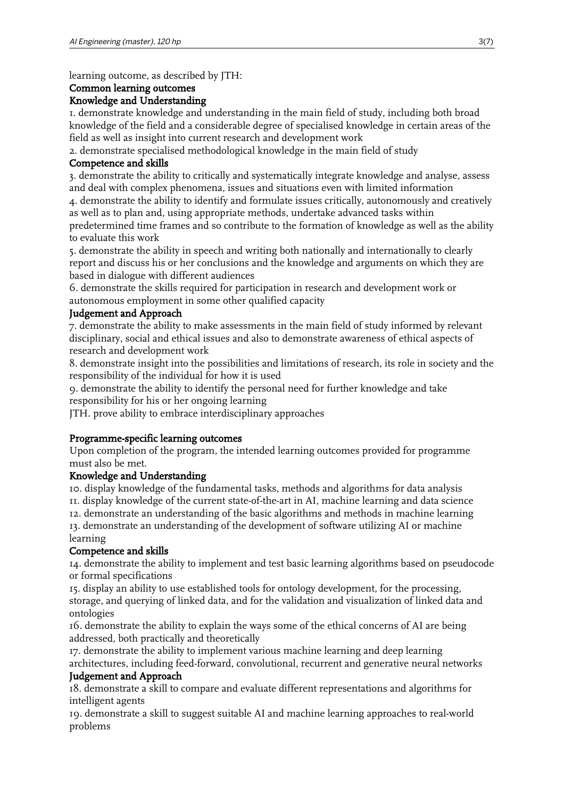learning outcome, as described by JTH:

#### Common learning outcomes

### Knowledge and Understanding

1. demonstrate knowledge and understanding in the main field of study, including both broad knowledge of the field and a considerable degree of specialised knowledge in certain areas of the field as well as insight into current research and development work

2. demonstrate specialised methodological knowledge in the main field of study

## Competence and skills

3. demonstrate the ability to critically and systematically integrate knowledge and analyse, assess and deal with complex phenomena, issues and situations even with limited information

4. demonstrate the ability to identify and formulate issues critically, autonomously and creatively as well as to plan and, using appropriate methods, undertake advanced tasks within predetermined time frames and so contribute to the formation of knowledge as well as the ability to evaluate this work

5. demonstrate the ability in speech and writing both nationally and internationally to clearly report and discuss his or her conclusions and the knowledge and arguments on which they are based in dialogue with different audiences

6. demonstrate the skills required for participation in research and development work or autonomous employment in some other qualified capacity

## Judgement and Approach

7. demonstrate the ability to make assessments in the main field of study informed by relevant disciplinary, social and ethical issues and also to demonstrate awareness of ethical aspects of research and development work

8. demonstrate insight into the possibilities and limitations of research, its role in society and the responsibility of the individual for how it is used

9. demonstrate the ability to identify the personal need for further knowledge and take responsibility for his or her ongoing learning

JTH. prove ability to embrace interdisciplinary approaches

## Programme-specific learning outcomes

Upon completion of the program, the intended learning outcomes provided for programme must also be met.

### Knowledge and Understanding

10. display knowledge of the fundamental tasks, methods and algorithms for data analysis 11. display knowledge of the current state-of-the-art in AI, machine learning and data science 12. demonstrate an understanding of the basic algorithms and methods in machine learning 13. demonstrate an understanding of the development of software utilizing AI or machine

#### learning Competence and skills

14. demonstrate the ability to implement and test basic learning algorithms based on pseudocode or formal specifications

15. display an ability to use established tools for ontology development, for the processing, storage, and querying of linked data, and for the validation and visualization of linked data and ontologies

16. demonstrate the ability to explain the ways some of the ethical concerns of AI are being addressed, both practically and theoretically

17. demonstrate the ability to implement various machine learning and deep learning architectures, including feed-forward, convolutional, recurrent and generative neural networks

### Judgement and Approach

18. demonstrate a skill to compare and evaluate different representations and algorithms for intelligent agents

19. demonstrate a skill to suggest suitable AI and machine learning approaches to real-world problems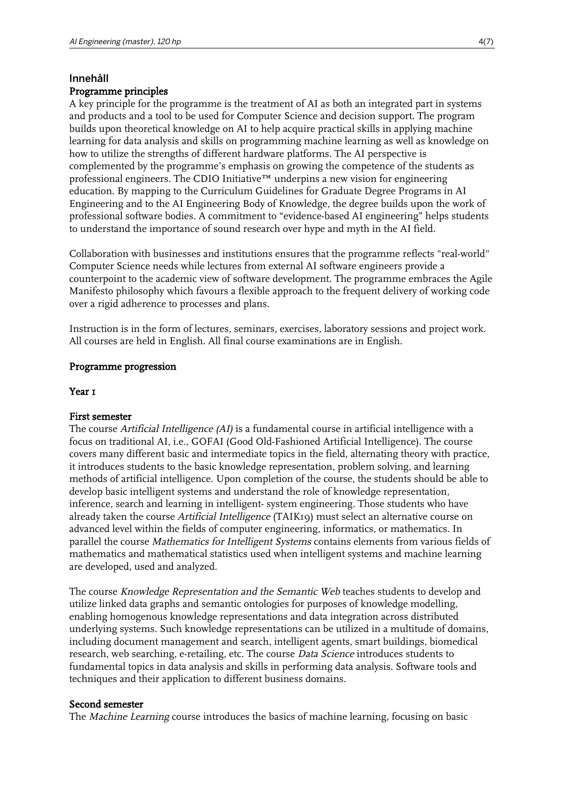## Innehåll

## Programme principles

A key principle for the programme is the treatment of AI as both an integrated part in systems and products and a tool to be used for Computer Science and decision support. The program builds upon theoretical knowledge on AI to help acquire practical skills in applying machine learning for data analysis and skills on programming machine learning as well as knowledge on how to utilize the strengths of different hardware platforms. The AI perspective is complemented by the programme's emphasis on growing the competence of the students as professional engineers. The CDIO Initiative™ underpins a new vision for engineering education. By mapping to the Curriculum Guidelines for Graduate Degree Programs in AI Engineering and to the AI Engineering Body of Knowledge, the degree builds upon the work of professional software bodies. A commitment to "evidence-based AI engineering" helps students to understand the importance of sound research over hype and myth in the AI field.

Collaboration with businesses and institutions ensures that the programme reflects "real-world" Computer Science needs while lectures from external AI software engineers provide a counterpoint to the academic view of software development. The programme embraces the Agile Manifesto philosophy which favours a flexible approach to the frequent delivery of working code over a rigid adherence to processes and plans.

Instruction is in the form of lectures, seminars, exercises, laboratory sessions and project work. All courses are held in English. All final course examinations are in English.

#### Programme progression

#### Year<sub>1</sub>

#### First semester

The course Artificial Intelligence (AI) is a fundamental course in artificial intelligence with a focus on traditional AI, i.e., GOFAI (Good Old-Fashioned Artificial Intelligence). The course covers many different basic and intermediate topics in the field, alternating theory with practice, it introduces students to the basic knowledge representation, problem solving, and learning methods of artificial intelligence. Upon completion of the course, the students should be able to develop basic intelligent systems and understand the role of knowledge representation, inference, search and learning in intelligent- system engineering. Those students who have already taken the course Artificial Intelligence (TAIK19) must select an alternative course on advanced level within the fields of computer engineering, informatics, or mathematics. In parallel the course Mathematics for Intelligent Systems contains elements from various fields of mathematics and mathematical statistics used when intelligent systems and machine learning are developed, used and analyzed.

The course Knowledge Representation and the Semantic Web teaches students to develop and utilize linked data graphs and semantic ontologies for purposes of knowledge modelling, enabling homogenous knowledge representations and data integration across distributed underlying systems. Such knowledge representations can be utilized in a multitude of domains, including document management and search, intelligent agents, smart buildings, biomedical research, web searching, e-retailing, etc. The course Data Science introduces students to fundamental topics in data analysis and skills in performing data analysis. Software tools and techniques and their application to different business domains.

#### Second semester

The Machine Learning course introduces the basics of machine learning, focusing on basic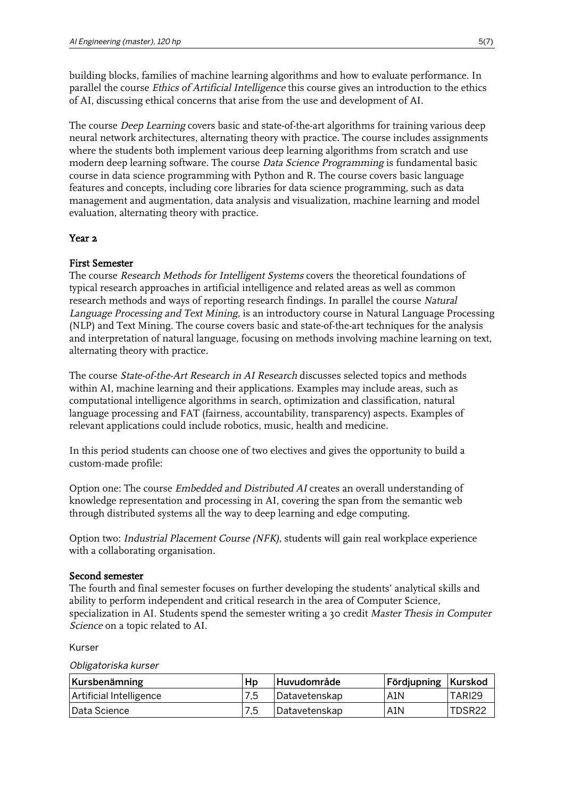building blocks, families of machine learning algorithms and how to evaluate performance. In parallel the course Ethics of Artificial Intelligence this course gives an introduction to the ethics of AI, discussing ethical concerns that arise from the use and development of AI.

The course *Deep Learning* covers basic and state-of-the-art algorithms for training various deep neural network architectures, alternating theory with practice. The course includes assignments where the students both implement various deep learning algorithms from scratch and use modern deep learning software. The course Data Science Programming is fundamental basic course in data science programming with Python and R. The course covers basic language features and concepts, including core libraries for data science programming, such as data management and augmentation, data analysis and visualization, machine learning and model evaluation, alternating theory with practice.

## Year<sub>2</sub>

## First Semester

The course Research Methods for Intelligent Systems covers the theoretical foundations of typical research approaches in artificial intelligence and related areas as well as common research methods and ways of reporting research findings. In parallel the course Natural Language Processing and Text Mining, is an introductory course in Natural Language Processing (NLP) and Text Mining. The course covers basic and state-of-the-art techniques for the analysis and interpretation of natural language, focusing on methods involving machine learning on text, alternating theory with practice.

The course State-of-the-Art Research in AI Research discusses selected topics and methods within AI, machine learning and their applications. Examples may include areas, such as computational intelligence algorithms in search, optimization and classification, natural language processing and FAT (fairness, accountability, transparency) aspects. Examples of relevant applications could include robotics, music, health and medicine.

In this period students can choose one of two electives and gives the opportunity to build a custom-made profile:

Option one: The course Embedded and Distributed AI creates an overall understanding of knowledge representation and processing in AI, covering the span from the semantic web through distributed systems all the way to deep learning and edge computing.

Option two: Industrial Placement Course (NFK), students will gain real workplace experience with a collaborating organisation.

### Second semester

The fourth and final semester focuses on further developing the students' analytical skills and ability to perform independent and critical research in the area of Computer Science, specialization in AI. Students spend the semester writing a 30 credit Master Thesis in Computer Science on a topic related to AI.

Kurser

Obligatoriska kurser

| Kursbenämning           | Hp  | Huvudområde     | <b>Fördjupning   Kurskod</b> |        |
|-------------------------|-----|-----------------|------------------------------|--------|
| Artificial Intelligence | 7,5 | l Datavetenskap | A1N                          | TARI29 |
| Data Science            | 7,5 | Datavetenskap   | A <sub>1</sub> N             | TDSR22 |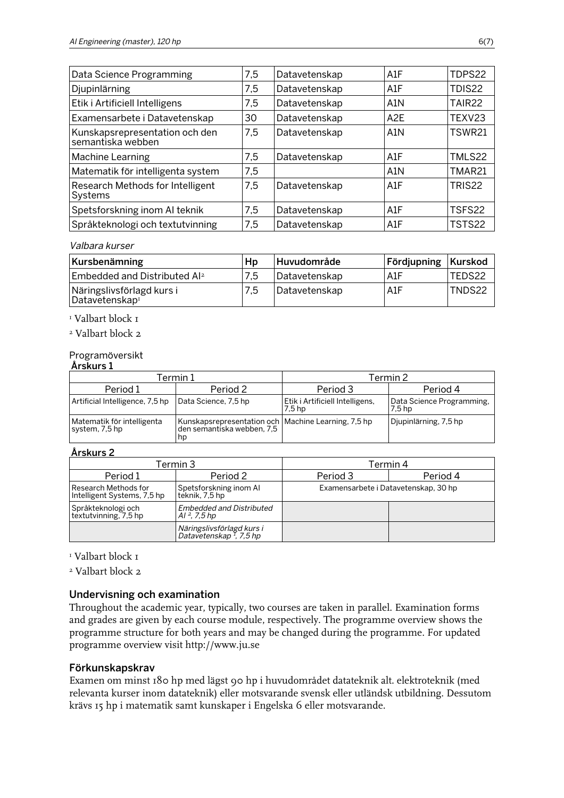| Data Science Programming                            | 7,5 | Datavetenskap | A1F              | TDPS22             |
|-----------------------------------------------------|-----|---------------|------------------|--------------------|
| Djupinlärning                                       | 7,5 | Datavetenskap | A1F              | TDIS22             |
| Etik i Artificiell Intelligens                      | 7,5 | Datavetenskap | A1N              | TAIR <sub>22</sub> |
| Examensarbete i Datavetenskap                       | 30  | Datavetenskap | A2E              | TEXV23             |
| Kunskapsrepresentation och den<br>semantiska webben | 7,5 | Datavetenskap | A <sub>1</sub> N | <b>TSWR21</b>      |
| Machine Learning                                    | 7,5 | Datavetenskap | A1F              | TMLS22             |
| Matematik för intelligenta system                   | 7,5 |               | A <sub>1</sub> N | TMAR21             |
| Research Methods for Intelligent<br>Systems         | 7,5 | Datavetenskap | A1F              | TRIS <sub>22</sub> |
| Spetsforskning inom AI teknik                       | 7,5 | Datavetenskap | A1F              | TSFS22             |
| Språkteknologi och textutvinning                    | 7,5 | Datavetenskap | A1F              | TSTS22             |

#### Valbara kurser

| Kursbenämning                                           | Hp  | Huvudområde   | <b>Fördjupning Kurskod</b> |        |
|---------------------------------------------------------|-----|---------------|----------------------------|--------|
| Embedded and Distributed Al <sup>2</sup>                | 7.5 | Datavetenskap | : A1F                      | TEDS22 |
| Näringslivsförlagd kurs i<br>Datavetenskap <sup>1</sup> | 7.5 | Datavetenskap | <b>A1F</b>                 | TNDS22 |

## 1 Valbart block 1

2 Valbart block 2

### Programöversikt

|                                              | Termin 1                                                                                  | Termin 2                                             |                                                |  |
|----------------------------------------------|-------------------------------------------------------------------------------------------|------------------------------------------------------|------------------------------------------------|--|
| Period 1                                     | Period 2                                                                                  | Period 3                                             | Period 4                                       |  |
| Artificial Intelligence, 7,5 hp              | Data Science, 7,5 hp                                                                      | Etik i Artificiell Intelligens,<br>7.5 <sub>hp</sub> | Data Science Programming,<br>7.5 <sub>hp</sub> |  |
| Matematik för intelligenta<br>system, 7,5 hp | Kunskapsrepresentation och   Machine Learning, 7,5 hp<br>den semantiska webben, 7,5<br>hp |                                                      | Djupinlärning, 7,5 hp                          |  |

#### Årskurs 2

| Termin 3                                            |                                                                    | Termin 4                             |          |  |
|-----------------------------------------------------|--------------------------------------------------------------------|--------------------------------------|----------|--|
| Period 1                                            | Period 2                                                           | Period 3                             | Period 4 |  |
| Research Methods for<br>Intelligent Systems, 7,5 hp | Spetsforskning inom Al<br>teknik, 7,5 hp                           | Examensarbete i Datavetenskap, 30 hp |          |  |
| Språkteknologi och<br>textutvinning, 7,5 hp         | <b>Embedded and Distributed</b><br>Al <sup>2</sup> , 7.5 hp        |                                      |          |  |
|                                                     | Näringslivsförlagd kurs i<br>  Datavetenskap <sup>1</sup> , 7,5 hp |                                      |          |  |

### 1 Valbart block 1

2 Valbart block 2

#### Undervisning och examination

Throughout the academic year, typically, two courses are taken in parallel. Examination forms and grades are given by each course module, respectively. The programme overview shows the programme structure for both years and may be changed during the programme. For updated programme overview visit http://www.ju.se

#### Förkunskapskrav

Examen om minst 180 hp med lägst 90 hp i huvudområdet datateknik alt. elektroteknik (med relevanta kurser inom datateknik) eller motsvarande svensk eller utländsk utbildning. Dessutom krävs 15 hp i matematik samt kunskaper i Engelska 6 eller motsvarande.